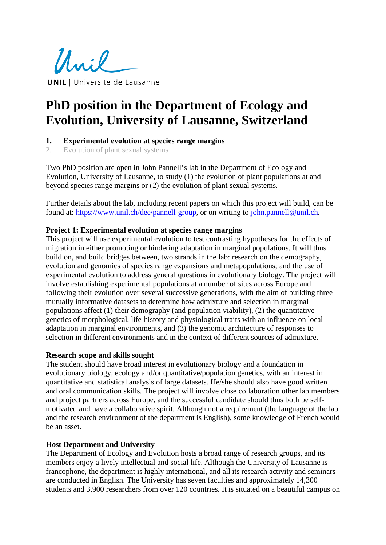Unil **UNIL** | Université de Lausanne

# **PhD position in the Department of Ecology and Evolution, University of Lausanne, Switzerland**

## **1. Experimental evolution at species range margins**

2. Evolution of plant sexual systems

Two PhD position are open in John Pannell's lab in the Department of Ecology and Evolution, University of Lausanne, to study (1) the evolution of plant populations at and beyond species range margins or (2) the evolution of plant sexual systems.

Further details about the lab, including recent papers on which this project will build, can be found at: [https://www.unil.ch/dee/pannell-group,](https://www.unil.ch/dee/pannell-group) or on writing to [john.pannell@unil.ch.](mailto:john.pannell@unil.ch)

## **Project 1: Experimental evolution at species range margins**

This project will use experimental evolution to test contrasting hypotheses for the effects of migration in either promoting or hindering adaptation in marginal populations. It will thus build on, and build bridges between, two strands in the lab: research on the demography, evolution and genomics of species range expansions and metapopulations; and the use of experimental evolution to address general questions in evolutionary biology. The project will involve establishing experimental populations at a number of sites across Europe and following their evolution over several successive generations, with the aim of building three mutually informative datasets to determine how admixture and selection in marginal populations affect (1) their demography (and population viability), (2) the quantitative genetics of morphological, life-history and physiological traits with an influence on local adaptation in marginal environments, and (3) the genomic architecture of responses to selection in different environments and in the context of different sources of admixture.

#### **Research scope and skills sought**

The student should have broad interest in evolutionary biology and a foundation in evolutionary biology, ecology and/or quantitative/population genetics, with an interest in quantitative and statistical analysis of large datasets. He/she should also have good written and oral communication skills. The project will involve close collaboration other lab members and project partners across Europe, and the successful candidate should thus both be selfmotivated and have a collaborative spirit. Although not a requirement (the language of the lab and the research environment of the department is English), some knowledge of French would be an asset.

## **Host Department and University**

The Department of Ecology and Evolution hosts a broad range of research groups, and its members enjoy a lively intellectual and social life. Although the University of Lausanne is francophone, the department is highly international, and all its research activity and seminars are conducted in English. The University has seven faculties and approximately 14,300 students and 3,900 researchers from over 120 countries. It is situated on a beautiful campus on